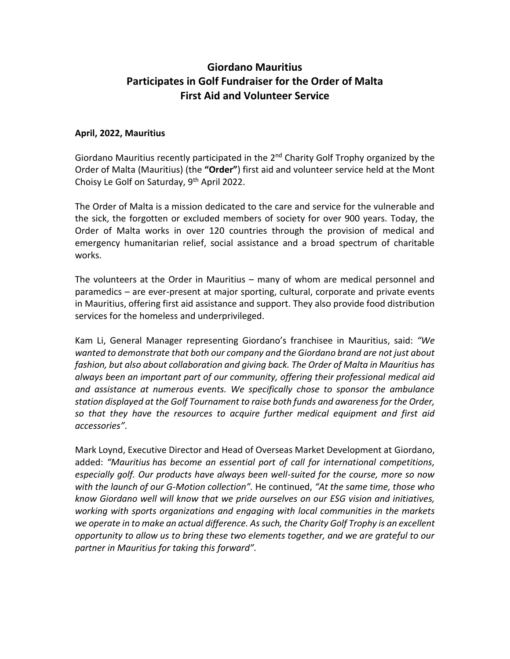## **Giordano Mauritius Participates in Golf Fundraiser for the Order of Malta First Aid and Volunteer Service**

## **April, 2022, Mauritius**

Giordano Mauritius recently participated in the 2<sup>nd</sup> Charity Golf Trophy organized by the Order of Malta (Mauritius) (the **"Order"**) first aid and volunteer service held at the Mont Choisy Le Golf on Saturday, 9<sup>th</sup> April 2022.

The Order of Malta is a mission dedicated to the care and service for the vulnerable and the sick, the forgotten or excluded members of society for over 900 years. Today, the Order of Malta works in over 120 countries through the provision of medical and emergency humanitarian relief, social assistance and a broad spectrum of charitable works.

The volunteers at the Order in Mauritius – many of whom are medical personnel and paramedics – are ever-present at major sporting, cultural, corporate and private events in Mauritius, offering first aid assistance and support. They also provide food distribution services for the homeless and underprivileged.

Kam Li, General Manager representing Giordano's franchisee in Mauritius, said: *"We wanted to demonstrate that both our company and the Giordano brand are not just about fashion, but also about collaboration and giving back. The Order of Malta in Mauritius has always been an important part of our community, offering their professional medical aid and assistance at numerous events. We specifically chose to sponsor the ambulance station displayed at the Golf Tournament to raise both funds and awareness for the Order, so that they have the resources to acquire further medical equipment and first aid accessories"*.

Mark Loynd, Executive Director and Head of Overseas Market Development at Giordano, added: *"Mauritius has become an essential port of call for international competitions, especially golf. Our products have always been well-suited for the course, more so now with the launch of our G-Motion collection".* He continued, *"At the same time, those who know Giordano well will know that we pride ourselves on our ESG vision and initiatives, working with sports organizations and engaging with local communities in the markets we operate in to make an actual difference. As such, the Charity Golf Trophy is an excellent opportunity to allow us to bring these two elements together, and we are grateful to our partner in Mauritius for taking this forward".*